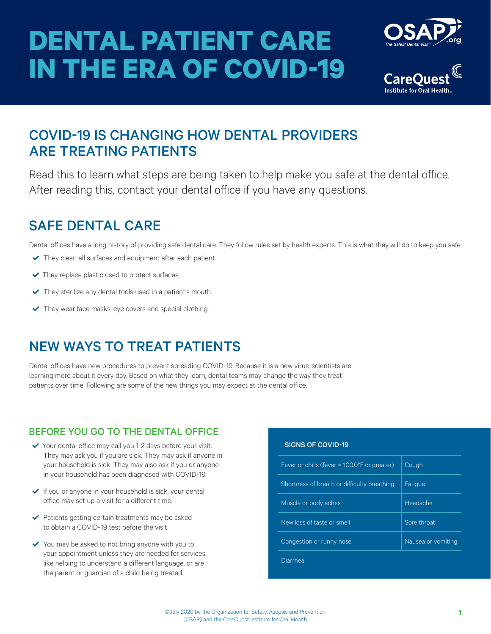# **DENTAL PATIENT CARE IN THE ERA OF COVID-19**





# COVID-19 IS CHANGING HOW DENTAL PROVIDERS ARE TREATING PATIENTS

Read this to learn what steps are being taken to help make you safe at the dental office. After reading this, contact your dental office if you have any questions.

# SAFE DENTAL CARE

Dental offices have a long history of providing safe dental care. They follow rules set by health experts. This is what they will do to keep you safe:

- $\blacktriangleright$  They clean all surfaces and equipment after each patient.
- $\blacktriangleright$  They replace plastic used to protect surfaces.
- $\blacktriangleright$  They sterilize any dental tools used in a patient's mouth.
- $\blacktriangleright$  They wear face masks, eye covers and special clothing.

# NEW WAYS TO TREAT PATIENTS

Dental offices have new procedures to prevent spreading COVID-19. Because it is a new virus, scientists are learning more about it every day. Based on what they learn, dental teams may change the way they treat patients over time. Following are some of the new things you may expect at the dental office.

# BEFORE YOU GO TO THE DENTAL OFFICE

- V Your dental office may call you 1-2 days before your visit. They may ask you if you are sick. They may ask if anyone in your household is sick. They may also ask if you or anyone in your household has been diagnosed with COVID-19.
- $\blacktriangleright$  If you or anyone in your household is sick, your dental office may set up a visit for a different time.
- $\vee$  Patients getting certain treatments may be asked to obtain a COVID-19 test before the visit.
- $\vee$  You may be asked to not bring anyone with you to your appointment unless they are needed for services like helping to understand a different language, or are the parent or guardian of a child being treated.

#### SIGNS OF COVID-19

| Fever or chills (fever = 100.0°F or greater) | Cough              |
|----------------------------------------------|--------------------|
| Shortness of breath or difficulty breathing  | Fatigue            |
| Muscle or body aches                         | Headache           |
| New loss of taste or smell                   | Sore throat        |
| Congestion or runny nose                     | Nausea or vomiting |
|                                              |                    |

Diarrhea